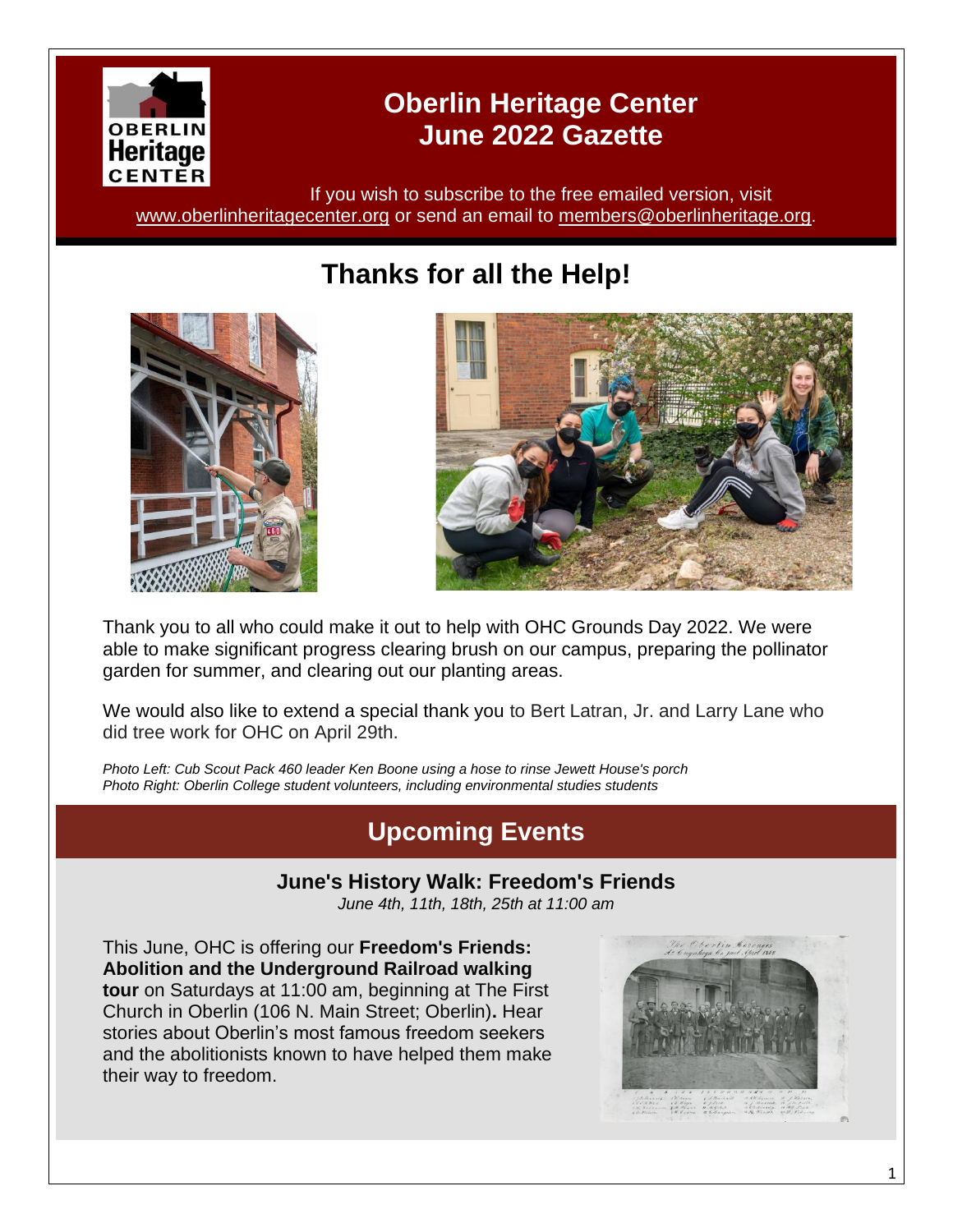

# **Oberlin Heritage Center June 2022 Gazette**

If you wish to subscribe to the free emailed version, visit [www.oberlinheritagecenter.org](http://www.oberlinheritagecenter.org/) or send an email to [members@oberlinheritage.org](mailto:members@oberlinheritage.org).

# **Thanks for all the Help!**





Thank you to all who could make it out to help with OHC Grounds Day 2022. We were able to make significant progress clearing brush on our campus, preparing the pollinator garden for summer, and clearing out our planting areas.

We would also like to extend a special thank you to Bert Latran, Jr. and Larry Lane who did tree work for OHC on April 29th.

*Photo Left: Cub Scout Pack 460 leader Ken Boone using a hose to rinse Jewett House's porch Photo Right: Oberlin College student volunteers, including environmental studies students*

# **Upcoming Events**

**June's History Walk: Freedom's Friends**

*June 4th, 11th, 18th, 25th at 11:00 am*

This June, OHC is offering our **Freedom's Friends: Abolition and the Underground Railroad walking tour** on Saturdays at 11:00 am, beginning at The First Church in Oberlin (106 N. Main Street; Oberlin)**.** Hear stories about Oberlin's most famous freedom seekers and the abolitionists known to have helped them make their way to freedom.

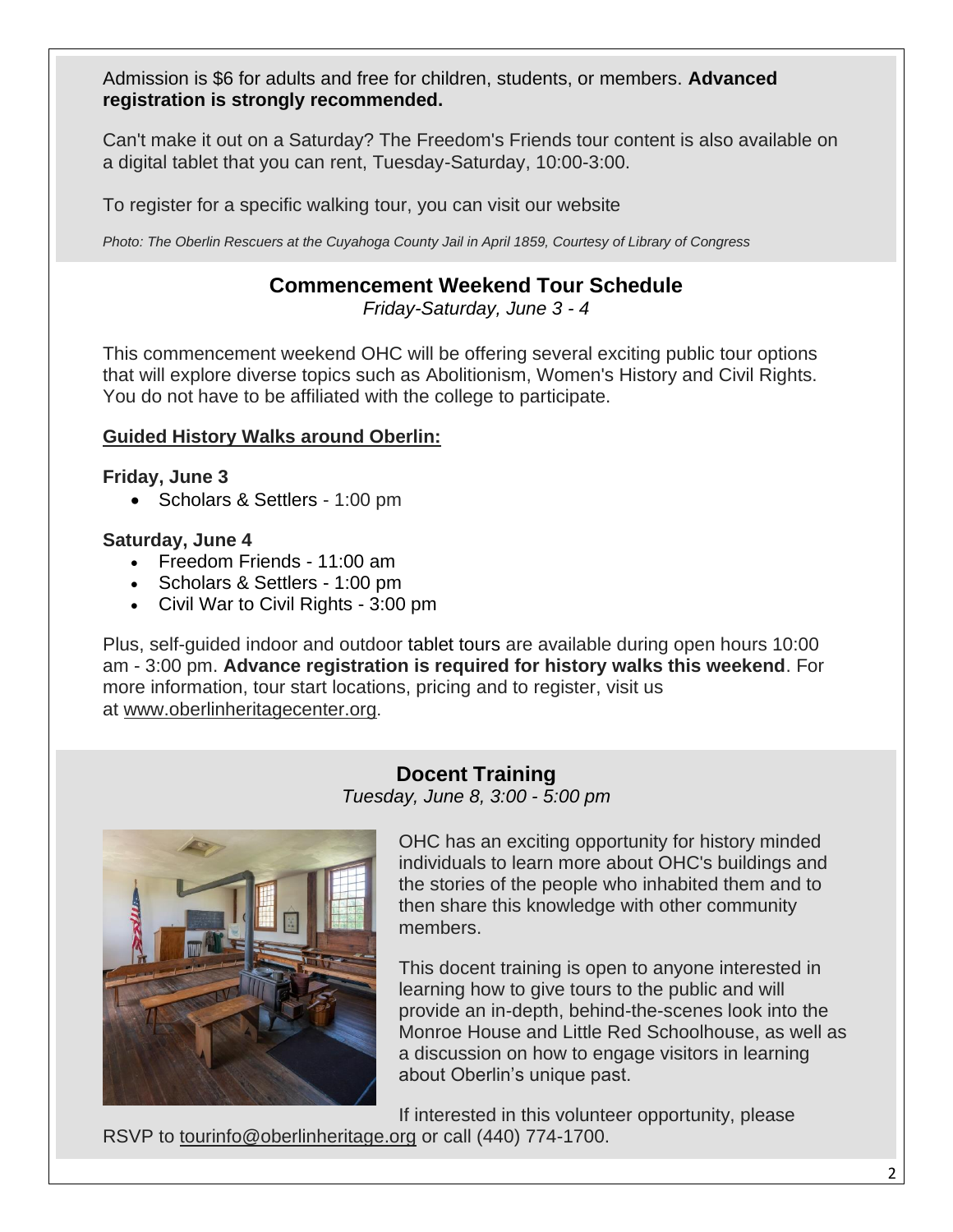Admission is \$6 for adults and free for children, students, or members. **Advanced registration is strongly recommended.**

Can't make it out on a Saturday? The Freedom's Friends tour content is also available on a digital tablet that you can rent, Tuesday-Saturday, 10:00-3:00.

To register for a specific walking tour, you can visit our website

*Photo: The Oberlin Rescuers at the Cuyahoga County Jail in April 1859, Courtesy of Library of Congress*

### **Commencement Weekend Tour Schedule**

*Friday-Saturday, June 3 - 4*

This commencement weekend OHC will be offering several exciting public tour options that will explore diverse topics such as Abolitionism, Women's History and Civil Rights. You do not have to be affiliated with the college to participate.

#### **Guided History Walks around Oberlin:**

#### **Friday, June 3**

• Scholars & Settlers - 1:00 pm

#### **Saturday, June 4**

- Freedom Friends 11:00 am
- Scholars & Settlers 1:00 pm
- Civil War to Civil Rights 3:00 pm

Plus, self-guided indoor and outdoor tablet tours are available during open hours 10:00 am - 3:00 pm. **Advance registration is required for history walks this weekend**. For more information, tour start locations, pricing and to register, visit us at [www.oberlinheritagecenter.org](http://www.oberlinheritagecenter.org/).

#### **Docent Training** *Tuesday, June 8, 3:00 - 5:00 pm*



OHC has an exciting opportunity for history minded individuals to learn more about OHC's buildings and the stories of the people who inhabited them and to then share this knowledge with other community members.

This docent training is open to anyone interested in learning how to give tours to the public and will provide an in-depth, behind-the-scenes look into the Monroe House and Little Red Schoolhouse, as well as a discussion on how to engage visitors in learning about Oberlin's unique past.

If interested in this volunteer opportunity, please RSVP to [tourinfo@oberlinheritage.org](mailto:tourinfo@oberlinheritage.org) or call (440) 774-1700.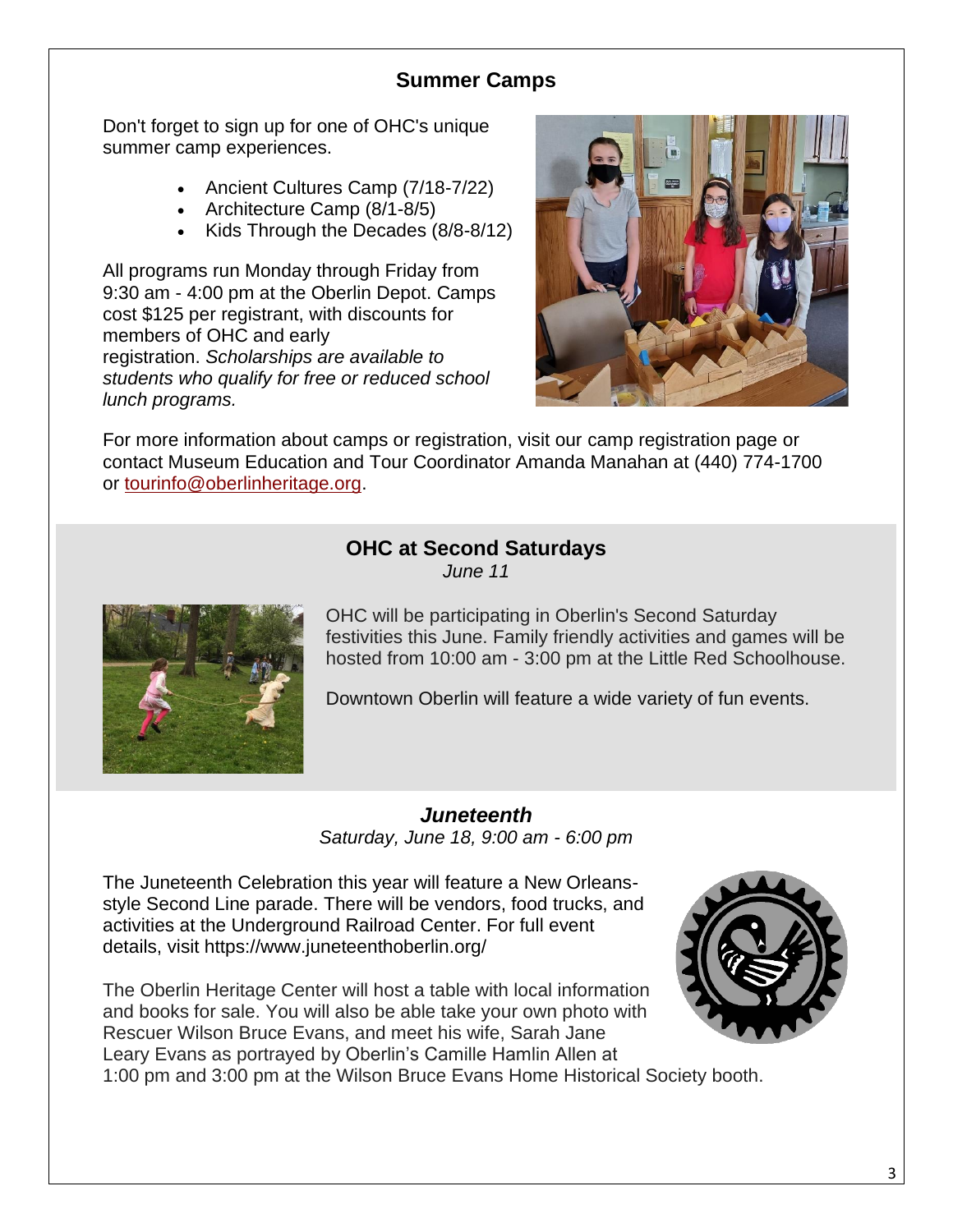### **Summer Camps**

Don't forget to sign up for one of OHC's unique summer camp experiences.

- Ancient Cultures Camp (7/18-7/22)
- Architecture Camp (8/1-8/5)
- Kids Through the Decades (8/8-8/12)

All programs run Monday through Friday from 9:30 am - 4:00 pm at the Oberlin Depot. Camps cost \$125 per registrant, with discounts for members of OHC and early registration. *Scholarships are available to students who qualify for free or reduced school lunch programs.*



For more information about camps or registration, visit our camp registration page or contact Museum Education and Tour Coordinator Amanda Manahan at (440) 774-1700 or [tourinfo@oberlinheritage.org.](mailto:tourinfo@oberlinheritage.org)

## **OHC at Second Saturdays**

*June 11*



OHC will be participating in Oberlin's Second Saturday festivities this June. Family friendly activities and games will be hosted from 10:00 am - 3:00 pm at the Little Red Schoolhouse.

Downtown Oberlin will feature a wide variety of fun events.

### *Juneteenth Saturday, June 18, 9:00 am - 6:00 pm*

The Juneteenth Celebration this year will feature a New Orleansstyle Second Line parade. There will be vendors, food trucks, and activities at the Underground Railroad Center. For full event details, visit https://www.juneteenthoberlin.org/

The Oberlin Heritage Center will host a table with local information and books for sale. You will also be able take your own photo with Rescuer Wilson Bruce Evans, and meet his wife, Sarah Jane Leary Evans as portrayed by Oberlin's Camille Hamlin Allen at

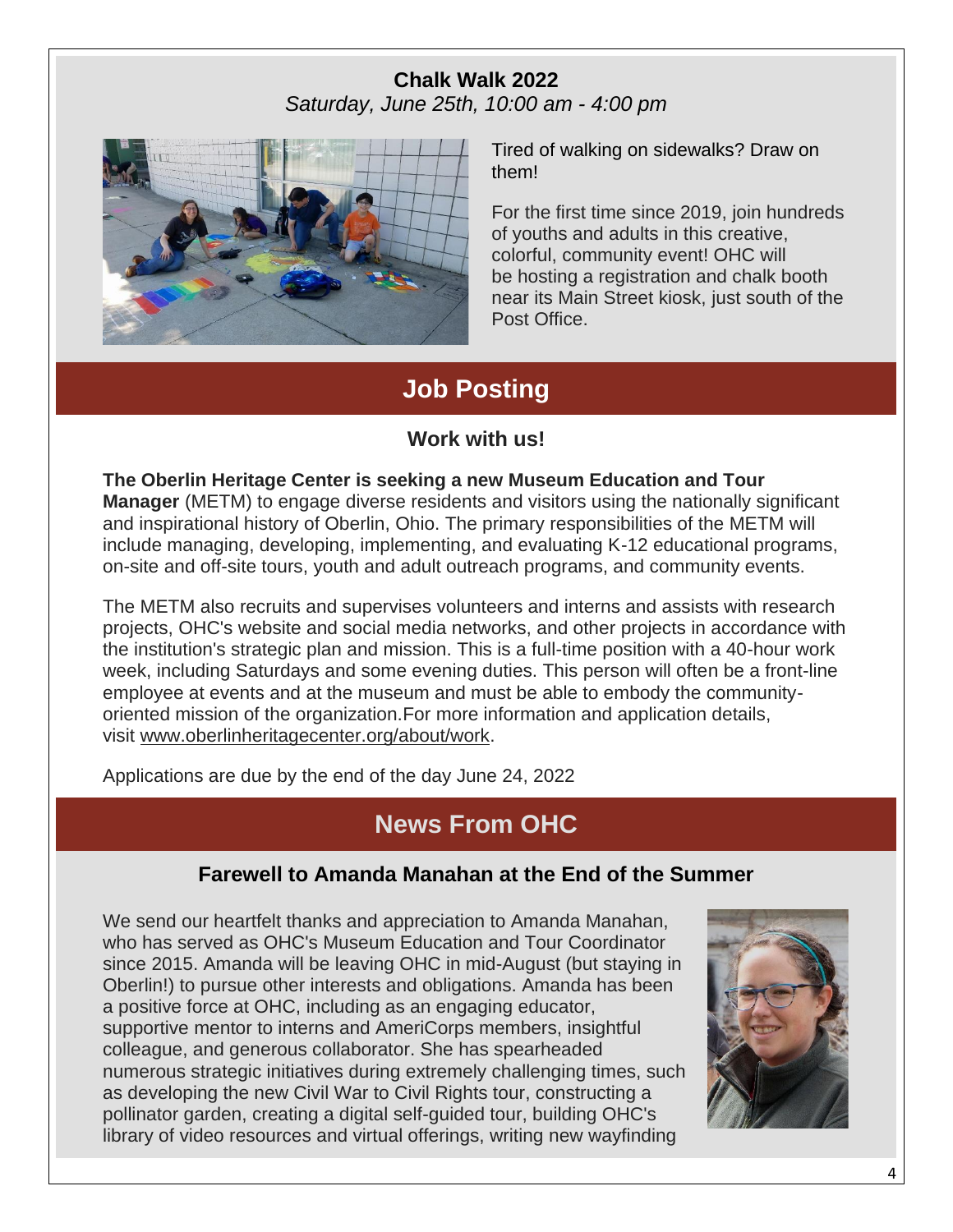## **Chalk Walk 2022** *Saturday, June 25th, 10:00 am - 4:00 pm*



Tired of walking on sidewalks? Draw on them!

For the first time since 2019, join hundreds of youths and adults in this creative, colorful, community event! OHC will be hosting a registration and chalk booth near its Main Street kiosk, just south of the Post Office.

## **Job Posting**

### **Work with us!**

#### **The Oberlin Heritage Center is seeking a new Museum Education and Tour Manager** (METM) to engage diverse residents and visitors using the nationally significant and inspirational history of Oberlin, Ohio. The primary responsibilities of the METM will include managing, developing, implementing, and evaluating K-12 educational programs, on-site and off-site tours, youth and adult outreach programs, and community events.

The METM also recruits and supervises volunteers and interns and assists with research projects, OHC's website and social media networks, and other projects in accordance with the institution's strategic plan and mission. This is a full-time position with a 40-hour work week, including Saturdays and some evening duties. This person will often be a front-line employee at events and at the museum and must be able to embody the communityoriented mission of the organization.For more information and application details, visit [www.oberlinheritagecenter.org/about/work.](http://www.oberlinheritagecenter.org/about/work)

Applications are due by the end of the day June 24, 2022

# **News From OHC**

### **Farewell to Amanda Manahan at the End of the Summer**

We send our heartfelt thanks and appreciation to Amanda Manahan, who has served as OHC's Museum Education and Tour Coordinator since 2015. Amanda will be leaving OHC in mid-August (but staying in Oberlin!) to pursue other interests and obligations. Amanda has been a positive force at OHC, including as an engaging educator, supportive mentor to interns and AmeriCorps members, insightful colleague, and generous collaborator. She has spearheaded numerous strategic initiatives during extremely challenging times, such as developing the new Civil War to Civil Rights tour, constructing a pollinator garden, creating a digital self-guided tour, building OHC's library of video resources and virtual offerings, writing new wayfinding

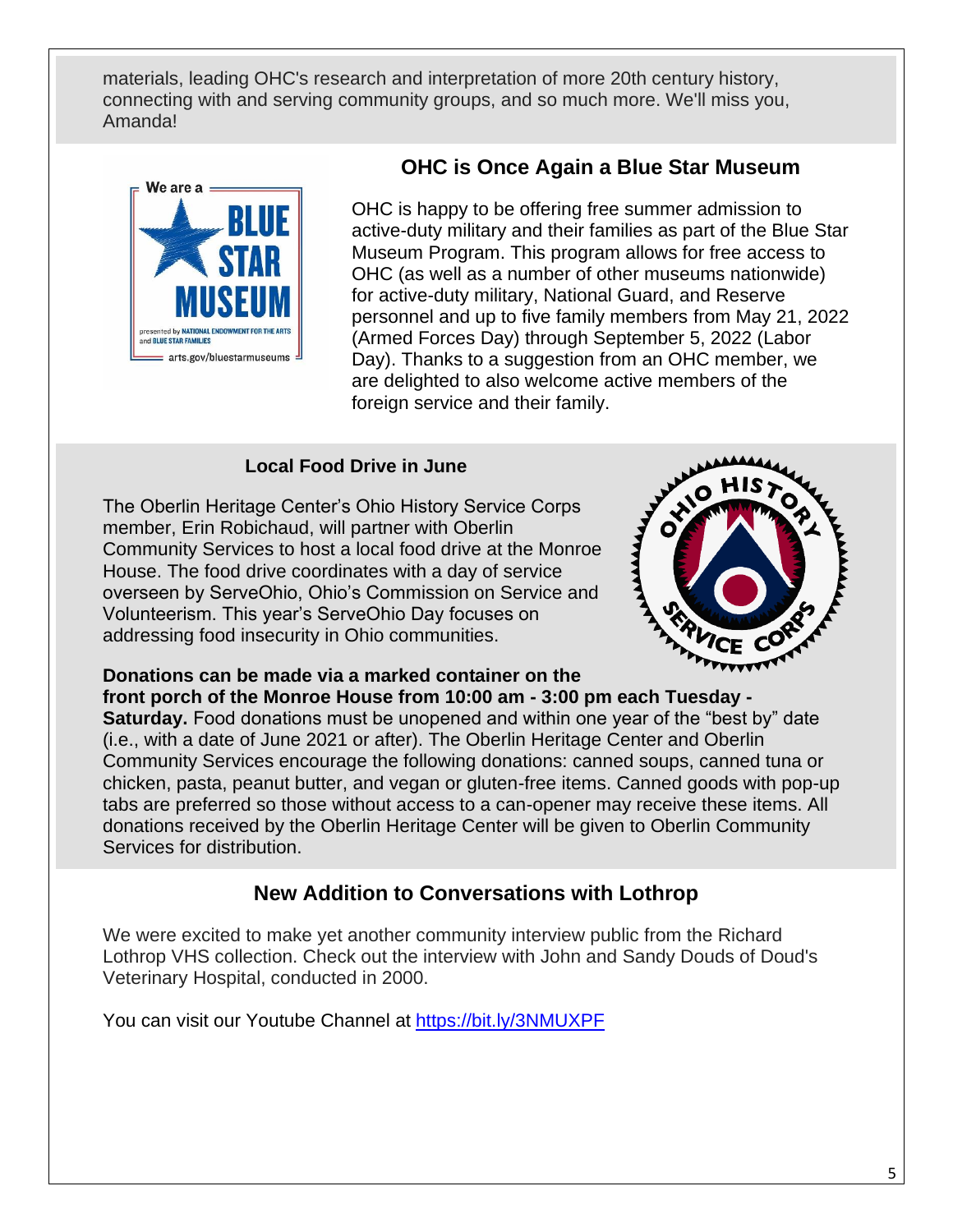materials, leading OHC's research and interpretation of more 20th century history, connecting with and serving community groups, and so much more. We'll miss you, Amanda!



### **OHC is Once Again a Blue Star Museum**

OHC is happy to be offering free summer admission to active-duty military and their families as part of the Blue Star Museum Program. This program allows for free access to OHC (as well as a number of other museums nationwide) for active-duty military, National Guard, and Reserve personnel and up to five family members from May 21, 2022 (Armed Forces Day) through September 5, 2022 (Labor Day). Thanks to a suggestion from an OHC member, we are delighted to also welcome active members of the foreign service and their family.

#### **Local Food Drive in June**

The Oberlin Heritage Center's Ohio History Service Corps member, Erin Robichaud, will partner with Oberlin Community Services to host a local food drive at the Monroe House. The food drive coordinates with a day of service overseen by ServeOhio, Ohio's Commission on Service and Volunteerism. This year's ServeOhio Day focuses on addressing food insecurity in Ohio communities.



**Donations can be made via a marked container on the front porch of the Monroe House from 10:00 am - 3:00 pm each Tuesday -**

**Saturday.** Food donations must be unopened and within one year of the "best by" date (i.e., with a date of June 2021 or after). The Oberlin Heritage Center and Oberlin Community Services encourage the following donations: canned soups, canned tuna or chicken, pasta, peanut butter, and vegan or gluten-free items. Canned goods with pop-up tabs are preferred so those without access to a can-opener may receive these items. All donations received by the Oberlin Heritage Center will be given to Oberlin Community Services for distribution.

### **New Addition to Conversations with Lothrop**

We were excited to make yet another community interview public from the Richard Lothrop VHS collection. Check out the interview with John and Sandy Douds of Doud's Veterinary Hospital, conducted in 2000.

You can visit our Youtube Channel at <https://bit.ly/3NMUXPF>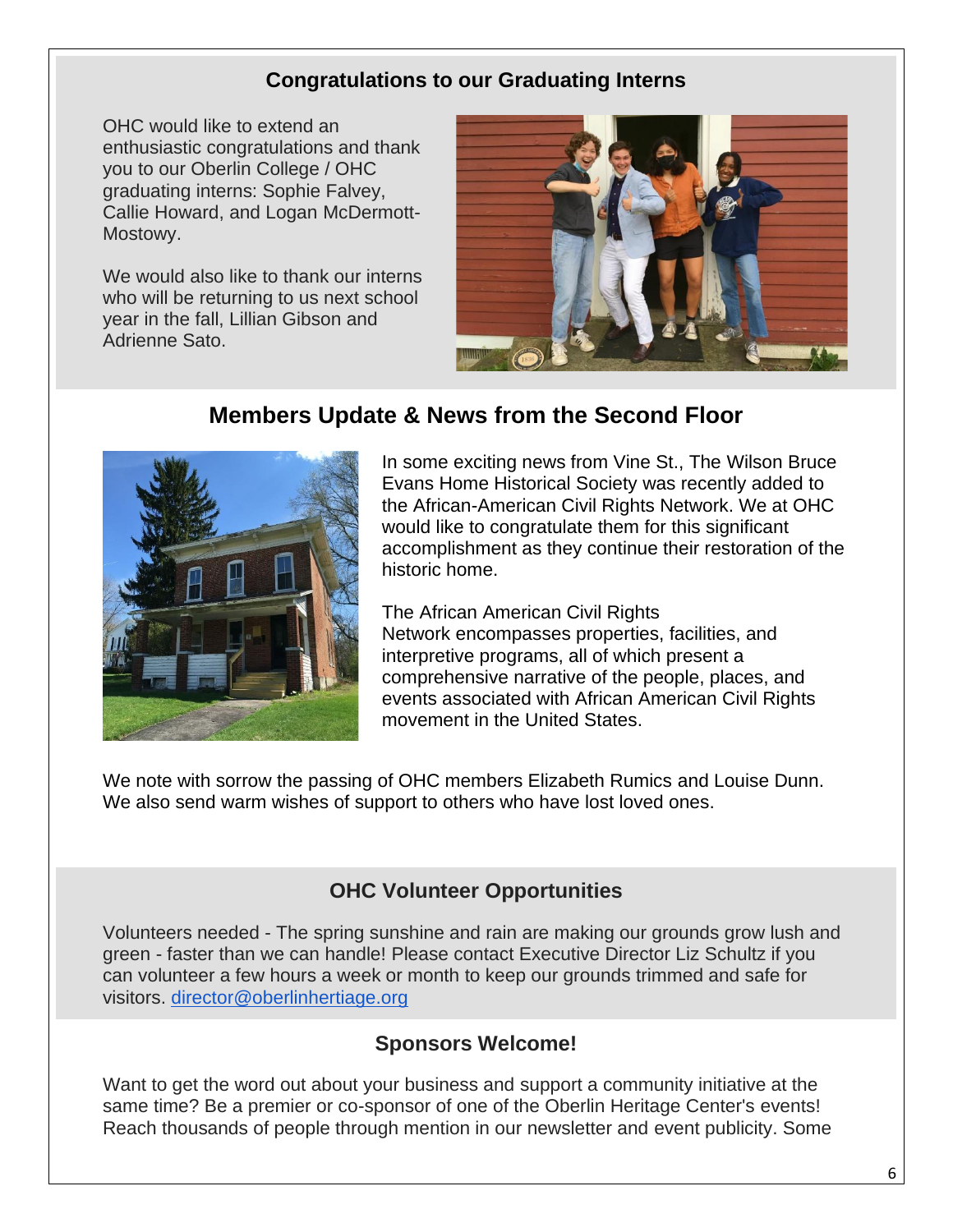### **Congratulations to our Graduating Interns**

OHC would like to extend an enthusiastic congratulations and thank you to our Oberlin College / OHC graduating interns: Sophie Falvey, Callie Howard, and Logan McDermott-Mostowy.

We would also like to thank our interns who will be returning to us next school year in the fall, Lillian Gibson and Adrienne Sato.



## **Members Update & News from the Second Floor**



In some exciting news from Vine St., The Wilson Bruce Evans Home Historical Society was recently added to the African-American Civil Rights Network. We at OHC would like to congratulate them for this significant accomplishment as they continue their restoration of the historic home.

The African American Civil Rights Network encompasses properties, facilities, and interpretive programs, all of which present a comprehensive narrative of the people, places, and events associated with African American Civil Rights movement in the United States.

We note with sorrow the passing of OHC members Elizabeth Rumics and Louise Dunn. We also send warm wishes of support to others who have lost loved ones.

### **OHC Volunteer Opportunities**

Volunteers needed - The spring sunshine and rain are making our grounds grow lush and green - faster than we can handle! Please contact Executive Director Liz Schultz if you can volunteer a few hours a week or month to keep our grounds trimmed and safe for visitors. [director@oberlinhertiage.org](mailto:director@oberlinhertiage.org)

### **Sponsors Welcome!**

Want to get the word out about your business and support a community initiative at the same time? Be a premier or co-sponsor of one of the Oberlin Heritage Center's events! Reach thousands of people through mention in our newsletter and event publicity. Some